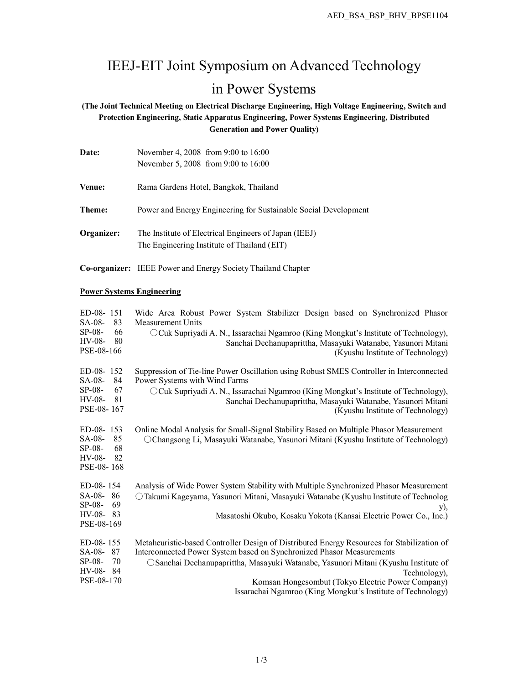# IEEJ-EIT Joint Symposium on Advanced Technology in Power Systems

**(The Joint Technical Meeting on Electrical Discharge Engineering, High Voltage Engineering, Switch and Protection Engineering, Static Apparatus Engineering, Power Systems Engineering, Distributed Generation and Power Quality)**

| Date:      | November 4, 2008 from 9:00 to 16:00                                                                  |
|------------|------------------------------------------------------------------------------------------------------|
|            | November 5, 2008 from 9:00 to 16:00                                                                  |
| Venue:     | Rama Gardens Hotel, Bangkok, Thailand                                                                |
| Theme:     | Power and Energy Engineering for Sustainable Social Development                                      |
| Organizer: | The Institute of Electrical Engineers of Japan (IEEJ)<br>The Engineering Institute of Thailand (EIT) |

**Co-organizer:** IEEE Power and Energy Society Thailand Chapter

### **Power Systems Engineering**

| Wide Area Robust Power System Stabilizer Design based on Synchronized Phasor<br>83<br><b>Measurement Units</b><br>66<br>OCuk Supriyadi A. N., Issarachai Ngamroo (King Mongkut's Institute of Technology),<br>80<br>Sanchai Dechanupaprittha, Masayuki Watanabe, Yasunori Mitani<br>(Kyushu Institute of Technology)                                                                                 | ED-08-151<br>SA-08-<br>$SP-08-$<br>$HV-08-$<br>PSE-08-166   |
|------------------------------------------------------------------------------------------------------------------------------------------------------------------------------------------------------------------------------------------------------------------------------------------------------------------------------------------------------------------------------------------------------|-------------------------------------------------------------|
| Suppression of Tie-line Power Oscillation using Robust SMES Controller in Interconnected<br>84<br>Power Systems with Wind Farms<br>67<br>OCuk Supriyadi A. N., Issarachai Ngamroo (King Mongkut's Institute of Technology),<br>81<br>Sanchai Dechanupaprittha, Masayuki Watanabe, Yasunori Mitani<br>(Kyushu Institute of Technology)                                                                | $ED-08-152$<br>SA-08-<br>$SP-08-$<br>$HV-08-$<br>PSE-08-167 |
| Online Modal Analysis for Small-Signal Stability Based on Multiple Phasor Measurement<br>85<br>O Changsong Li, Masayuki Watanabe, Yasunori Mitani (Kyushu Institute of Technology)<br>68<br>82                                                                                                                                                                                                       | $ED-08-153$<br>SA-08-<br>$SP-08-$<br>HV-08-<br>PSE-08-168   |
| Analysis of Wide Power System Stability with Multiple Synchronized Phasor Measurement<br>86<br>○Takumi Kageyama, Yasunori Mitani, Masayuki Watanabe (Kyushu Institute of Technolog<br>69<br>y),<br>83<br>Masatoshi Okubo, Kosaku Yokota (Kansai Electric Power Co., Inc.)                                                                                                                            | ED-08-154<br>SA-08-<br>$SP-08-$<br>HV-08-<br>PSE-08-169     |
| Metaheuristic-based Controller Design of Distributed Energy Resources for Stabilization of<br>Interconnected Power System based on Synchronized Phasor Measurements<br>70<br>○ Sanchai Dechanupaprittha, Masayuki Watanabe, Yasunori Mitani (Kyushu Institute of<br>Technology).<br>Komsan Hongesombut (Tokyo Electric Power Company)<br>Issarachai Ngamroo (King Mongkut's Institute of Technology) | ED-08-155<br>SA-08-87<br>$SP-08-$<br>HV-08-84<br>PSE-08-170 |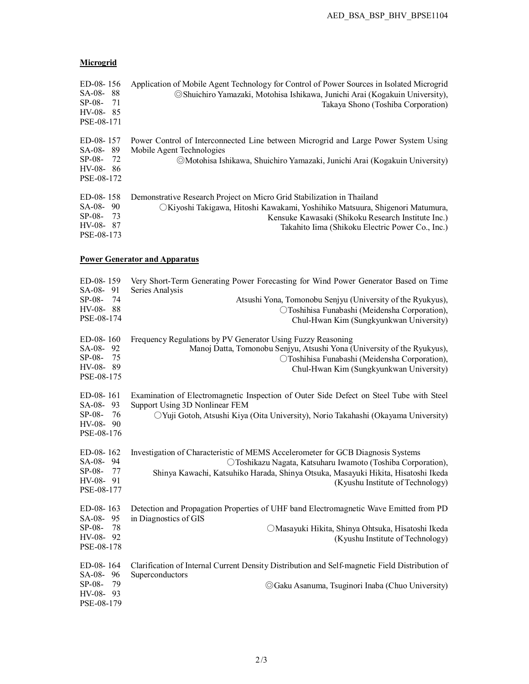## **Microgrid**

| ED-08-156<br>SA-08-88<br>$SP-08-$<br>- 71<br>$HV-08-85$<br>PSE-08-171   | Application of Mobile Agent Technology for Control of Power Sources in Isolated Microgrid<br>© Shuichiro Yamazaki, Motohisa Ishikawa, Junichi Arai (Kogakuin University),<br>Takaya Shono (Toshiba Corporation)                                                  |
|-------------------------------------------------------------------------|------------------------------------------------------------------------------------------------------------------------------------------------------------------------------------------------------------------------------------------------------------------|
| ED-08-157<br>SA-08-89<br>$SP-08 - 72$<br>$HV-08-86$<br>PSE-08-172       | Power Control of Interconnected Line between Microgrid and Large Power System Using<br>Mobile Agent Technologies<br>©Motohisa Ishikawa, Shuichiro Yamazaki, Junichi Arai (Kogakuin University)                                                                   |
| $ED-08-158$<br>$SA-08-90$<br>$SP-08-$<br>- 73<br>HV-08-87<br>PSE-08-173 | Demonstrative Research Project on Micro Grid Stabilization in Thailand<br>○Kiyoshi Takigawa, Hitoshi Kawakami, Yoshihiko Matsuura, Shigenori Matumura,<br>Kensuke Kawasaki (Shikoku Research Institute Inc.)<br>Takahito Iima (Shikoku Electric Power Co., Inc.) |

## **Power Generator and Apparatus**

| ED-08-159<br>SA-08-91                                                 | Very Short-Term Generating Power Forecasting for Wind Power Generator Based on Time<br>Series Analysis                                                                                                                                                                   |
|-----------------------------------------------------------------------|--------------------------------------------------------------------------------------------------------------------------------------------------------------------------------------------------------------------------------------------------------------------------|
| 74<br>$SP-08-$<br>HV-08-88<br>PSE-08-174                              | Atsushi Yona, Tomonobu Senjyu (University of the Ryukyus),<br>OToshihisa Funabashi (Meidensha Corporation),<br>Chul-Hwan Kim (Sungkyunkwan University)                                                                                                                   |
| ED-08-160<br>SA-08-92<br>75<br>$SP-08-$<br>HV-08-89<br>PSE-08-175     | Frequency Regulations by PV Generator Using Fuzzy Reasoning<br>Manoj Datta, Tomonobu Senjyu, Atsushi Yona (University of the Ryukyus),<br>OToshihisa Funabashi (Meidensha Corporation),<br>Chul-Hwan Kim (Sungkyunkwan University)                                       |
| ED-08-161<br>SA-08-93<br>76<br>$SP-08-$<br>$HV-08-90$<br>PSE-08-176   | Examination of Electromagnetic Inspection of Outer Side Defect on Steel Tube with Steel<br>Support Using 3D Nonlinear FEM<br>○ Yuji Gotoh, Atsushi Kiya (Oita University), Norio Takahashi (Okayama University)                                                          |
| ED-08-162<br>SA-08-94<br>$SP-08-$<br>- 77<br>$HV-08-91$<br>PSE-08-177 | Investigation of Characteristic of MEMS Accelerometer for GCB Diagnosis Systems<br>O Toshikazu Nagata, Katsuharu Iwamoto (Toshiba Corporation),<br>Shinya Kawachi, Katsuhiko Harada, Shinya Otsuka, Masayuki Hikita, Hisatoshi Ikeda<br>(Kyushu Institute of Technology) |
| ED-08-163<br>SA-08-95<br>-78<br>$SP-08-$<br>HV-08-92<br>PSE-08-178    | Detection and Propagation Properties of UHF band Electromagnetic Wave Emitted from PD<br>in Diagnostics of GIS<br>OMasayuki Hikita, Shinya Ohtsuka, Hisatoshi Ikeda<br>(Kyushu Institute of Technology)                                                                  |
| $ED-08-164$<br>SA-08-96<br>$SP-08-$<br>79<br>HV-08-93<br>PSE-08-179   | Clarification of Internal Current Density Distribution and Self-magnetic Field Distribution of<br>Superconductors<br>© Gaku Asanuma, Tsuginori Inaba (Chuo University)                                                                                                   |